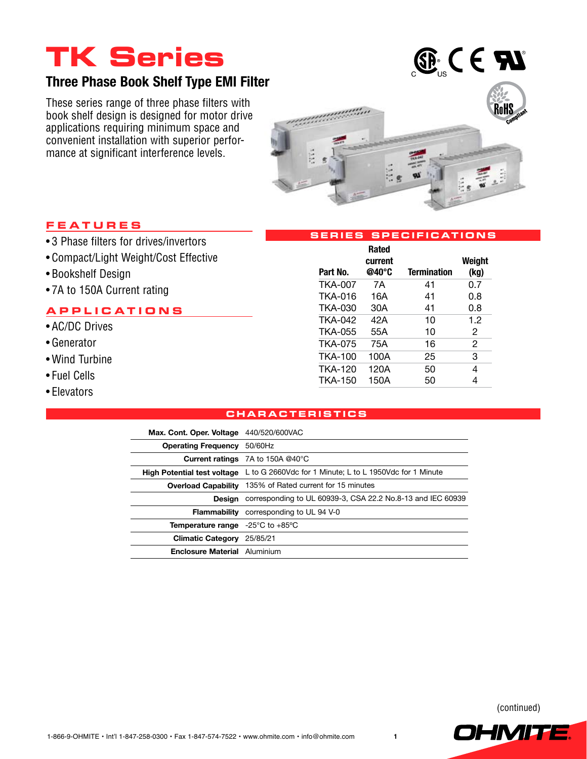# **TK Series**

### **Three Phase Book Shelf Type EMI Filter**

These series range of three phase filters with book shelf design is designed for motor drive applications requiring minimum space and convenient installation with superior performance at significant interference levels.



#### **Fea t ure s**

- 3 Phase filters for drives/invertors
- • Compact/Light Weight/Cost Effective
- • Bookshelf Design
- 7A to 150A Current rating

#### **applica t ion s**

- • AC/DC Drives
- • Generator
- • Wind Turbine
- • Fuel Cells
- Elevators

| Part No.       | <b>Rated</b><br>current<br>@40°C | <b>Termination</b> | Weight<br>(kg) |
|----------------|----------------------------------|--------------------|----------------|
| <b>TKA-007</b> | 7Α                               | 41                 | 0.7            |
| <b>TKA-016</b> | 16A                              | 41                 | 0.8            |
| <b>TKA-030</b> | 30A                              | 41                 | 0.8            |
| <b>TKA-042</b> | 42A                              | 10                 | 1.2            |
| TKA-055        | 55A                              | 10                 | 2              |
| <b>TKA-075</b> | 75A                              | 16                 | 2              |
| TKA-100        | 100A                             | 25                 | 3              |
| TKA-120        | 120A                             | 50                 | 4              |
| <b>TKA-150</b> | 150A                             | 50                 | 4              |

**Serie s Speci f icat ion s**

#### **charac t eri st i c s**

| Max. Cont. Oper. Voltage 440/520/600VAC                     |                                                                                             |  |
|-------------------------------------------------------------|---------------------------------------------------------------------------------------------|--|
| <b>Operating Frequency</b> 50/60Hz                          |                                                                                             |  |
|                                                             | <b>Current ratings</b> 7A to 150A $@40^\circ$ C                                             |  |
|                                                             | <b>High Potential test voltage</b> L to G 2660Vdc for 1 Minute; L to L 1950Vdc for 1 Minute |  |
|                                                             | <b>Overload Capability</b> 135% of Rated current for 15 minutes                             |  |
|                                                             | <b>Design</b> corresponding to UL 60939-3, CSA 22.2 No.8-13 and IEC 60939                   |  |
|                                                             | <b>Flammability</b> corresponding to UL 94 V-0                                              |  |
| <b>Temperature range</b> $-25^{\circ}$ C to $+85^{\circ}$ C |                                                                                             |  |
| <b>Climatic Category</b> 25/85/21                           |                                                                                             |  |
| <b>Enclosure Material</b> Aluminium                         |                                                                                             |  |

(continued)

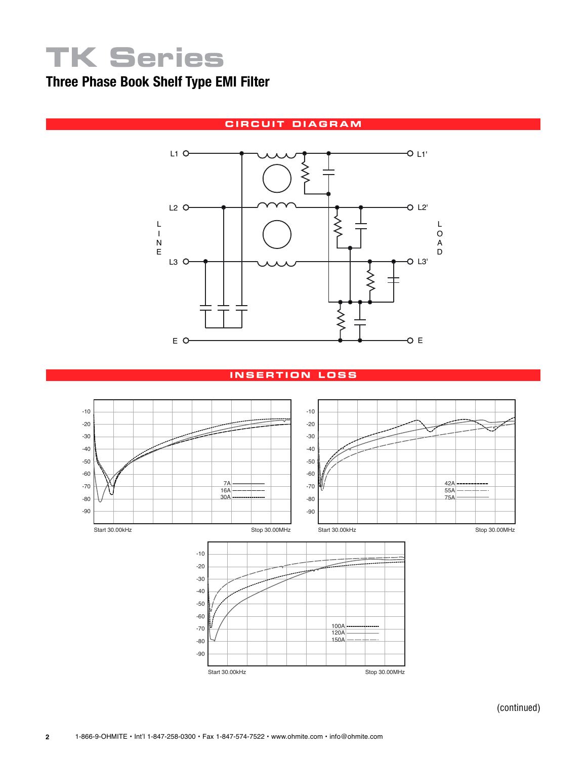# **TK Series**

## **Three Phase Book Shelf Type EMI Filter**

### **circui t diagram**



#### **i n s e r t ion lo ss**